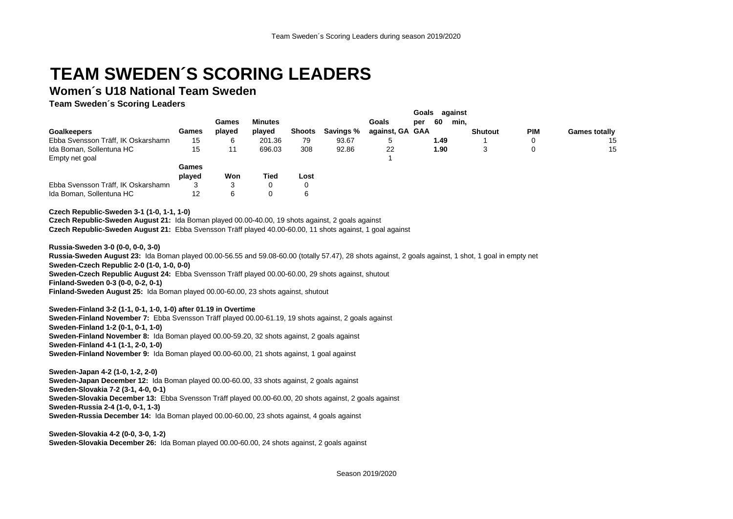## **TEAM SWEDEN´S SCORING LEADERS**

## **Women´s U18 National Team Sweden**

**Team Sweden´s Scoring Leaders**

|                                    |        |        |                |               |           |                 | against<br>Goals |      |      |                |            |                      |
|------------------------------------|--------|--------|----------------|---------------|-----------|-----------------|------------------|------|------|----------------|------------|----------------------|
|                                    |        | Games  | <b>Minutes</b> |               |           | Goals           | per              | 60   | min, |                |            |                      |
| <b>Goalkeepers</b>                 | Games  | played | played         | <b>Shoots</b> | Savings % | against, GA GAA |                  |      |      | <b>Shutout</b> | <b>PIM</b> | <b>Games totally</b> |
| Ebba Svensson Träff, IK Oskarshamn | 15     |        | 201.36         | 79            | 93.67     | .ხ              |                  | 1.49 |      |                |            | 15                   |
| Ida Boman, Sollentuna HC           | 15     | 11     | 696.03         | 308           | 92.86     | 22              |                  | 1.90 |      | J              |            | 15                   |
| Empty net goal                     |        |        |                |               |           |                 |                  |      |      |                |            |                      |
|                                    | Games  |        |                |               |           |                 |                  |      |      |                |            |                      |
|                                    | played | Won    | Tied           | Lost          |           |                 |                  |      |      |                |            |                      |
| Ebba Svensson Träff, IK Oskarshamn |        |        | 0              | 0             |           |                 |                  |      |      |                |            |                      |
| Ida Boman, Sollentuna HC           | 12     |        |                | 6             |           |                 |                  |      |      |                |            |                      |

**Czech Republic-Sweden 3-1 (1-0, 1-1, 1-0)**

**Czech Republic-Sweden August 21:** Ida Boman played 00.00-40.00, 19 shots against, 2 goals against **Czech Republic-Sweden August 21:** Ebba Svensson Träff played 40.00-60.00, 11 shots against, 1 goal against

**Russia-Sweden 3-0 (0-0, 0-0, 3-0)**

**Russia-Sweden August 23:** Ida Boman played 00.00-56.55 and 59.08-60.00 (totally 57.47), 28 shots against, 2 goals against, 1 shot, 1 goal in empty net **Sweden-Czech Republic 2-0 (1-0, 1-0, 0-0) Sweden-Czech Republic August 24:** Ebba Svensson Träff played 00.00-60.00, 29 shots against, shutout **Finland-Sweden 0-3 (0-0, 0-2, 0-1) Finland-Sweden August 25:** Ida Boman played 00.00-60.00, 23 shots against, shutout

**Sweden-Finland 3-2 (1-1, 0-1, 1-0, 1-0) after 01.19 in Overtime**

**Sweden-Finland November 7:** Ebba Svensson Träff played 00.00-61.19, 19 shots against, 2 goals against **Sweden-Finland 1-2 (0-1, 0-1, 1-0) Sweden-Finland November 8:** Ida Boman played 00.00-59.20, 32 shots against, 2 goals against **Sweden-Finland 4-1 (1-1, 2-0, 1-0) Sweden-Finland November 9:** Ida Boman played 00.00-60.00, 21 shots against, 1 goal against

**Sweden-Japan 4-2 (1-0, 1-2, 2-0) Sweden-Japan December 12:** Ida Boman played 00.00-60.00, 33 shots against, 2 goals against **Sweden-Slovakia 7-2 (3-1, 4-0, 0-1) Sweden-Slovakia December 13:** Ebba Svensson Träff played 00.00-60.00, 20 shots against, 2 goals against **Sweden-Russia 2-4 (1-0, 0-1, 1-3) Sweden-Russia December 14:** Ida Boman played 00.00-60.00, 23 shots against, 4 goals against

**Sweden-Slovakia 4-2 (0-0, 3-0, 1-2) Sweden-Slovakia December 26:** Ida Boman played 00.00-60.00, 24 shots against, 2 goals against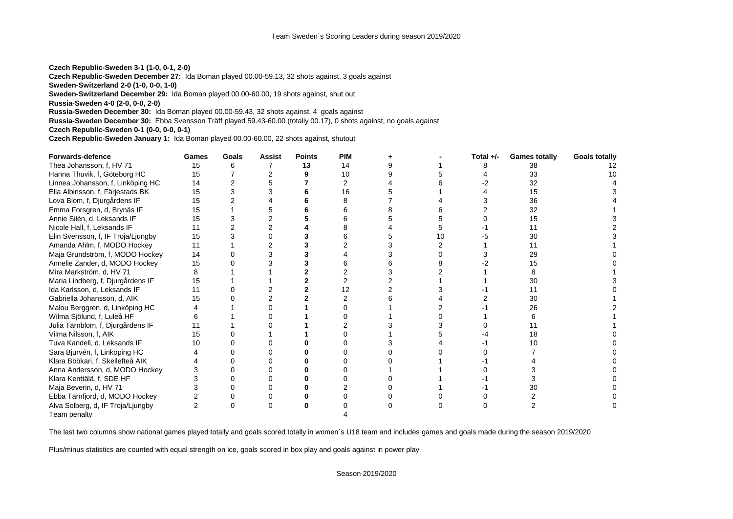**Czech Republic-Sweden 3-1 (1-0, 0-1, 2-0)**

**Czech Republic-Sweden December 27:** Ida Boman played 00.00-59.13, 32 shots against, 3 goals against

**Sweden-Switzerland 2-0 (1-0, 0-0, 1-0)**

**Sweden-Switzerland December 29:** Ida Boman played 00.00-60.00, 19 shots against, shut out

**Russia-Sweden 4-0 (2-0, 0-0, 2-0)**

**Russia-Sweden December 30:** Ida Boman played 00.00-59.43, 32 shots against, 4 goals against

**Russia-Sweden December 30:** Ebba Svensson Träff played 59.43-60.00 (totally 00.17), 0 shots against, no goals against

**Czech Republic-Sweden 0-1 (0-0, 0-0, 0-1)**

**Czech Republic-Sweden January 1:** Ida Boman played 00.00-60.00, 22 shots against, shutout

| Forwards-defence                   | Games | Goals    | <b>Assist</b> | <b>Points</b> | <b>PIM</b> |    | Total $+/-$ | <b>Games totally</b> | <b>Goals totally</b> |
|------------------------------------|-------|----------|---------------|---------------|------------|----|-------------|----------------------|----------------------|
| Thea Johansson, f, HV 71           | 15    |          |               | 13            | 14         |    |             | 38                   | 12                   |
| Hanna Thuvik, f, Göteborg HC       | 15    |          |               |               | 10         |    |             | 33                   | 10                   |
| Linnea Johansson, f, Linköping HC  | 14    |          |               |               |            |    |             | 32                   |                      |
| Ella Albinsson, f, Färjestads BK   | 15    |          | 3             |               | 16         |    |             | 15                   |                      |
| Lova Blom, f, Djurgårdens IF       | 15    |          |               |               |            |    |             | 36                   |                      |
| Emma Forsgren, d, Brynäs IF        | 15    |          |               |               |            |    |             | 32                   |                      |
| Annie Silén, d, Leksands IF        | 15    |          |               |               |            |    |             | 15                   |                      |
| Nicole Hall, f, Leksands IF        | 11    |          |               |               |            |    |             | 11                   |                      |
| Elin Svensson, f, IF Troja/Ljungby | 15    |          |               |               |            | 10 |             | 30                   |                      |
| Amanda Ahlm, f, MODO Hockey        | 11    |          |               |               |            |    |             | 11                   |                      |
| Maja Grundström, f, MODO Hockey    | 14    |          |               |               |            |    |             | 29                   |                      |
| Annelie Zander, d, MODO Hockey     | 15    |          |               |               |            |    |             | 15                   |                      |
| Mira Markström, d. HV 71           |       |          |               |               |            |    |             |                      |                      |
| Maria Lindberg, f, Djurgårdens IF  | 15    |          |               |               |            |    |             | 30                   |                      |
| Ida Karlsson, d, Leksands IF       |       |          |               |               | 12         |    |             |                      |                      |
| Gabriella Johansson, d, AIK        | 15    |          |               |               |            |    |             | 30                   |                      |
| Malou Berggren, d, Linköping HC    |       |          |               |               |            |    |             | 26                   |                      |
| Wilma Sjölund, f, Luleå HF         |       |          |               |               |            |    |             |                      |                      |
| Julia Tärnblom, f, Djurgårdens IF  |       |          |               |               |            |    |             |                      |                      |
| Vilma Nilsson, f, AIK              | 15    |          |               |               |            |    |             | 18                   |                      |
| Tuva Kandell, d, Leksands IF       | 10    |          |               |               |            |    |             | 10                   |                      |
| Sara Bjurvén, f, Linköping HC      |       |          |               |               |            |    |             |                      |                      |
| Klara Böökari, f, Skellefteå AIK   |       |          |               |               |            |    |             |                      |                      |
| Anna Andersson, d, MODO Hockey     |       |          |               |               |            |    |             |                      |                      |
| Klara Kenttälä, f, SDE HF          |       |          |               |               |            |    |             |                      |                      |
| Maja Beverin, d, HV 71             |       |          |               |               |            |    |             | 30                   |                      |
| Ebba Tärnfjord, d, MODO Hockey     |       |          |               |               |            |    |             |                      |                      |
| Alva Solberg, d, IF Troja/Ljungby  | 2     | $\Omega$ |               |               |            |    |             |                      |                      |
| Team penalty                       |       |          |               |               |            |    |             |                      |                      |

The last two columns show national games played totally and goals scored totally in women´s U18 team and includes games and goals made during the season 2019/2020

Plus/minus statistics are counted with equal strength on ice, goals scored in box play and goals against in power play